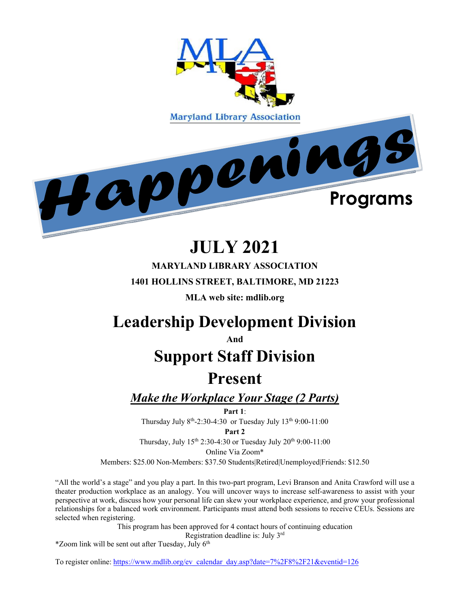

# **JULY 2021**

**MARYLAND LIBRARY ASSOCIATION 1401 HOLLINS STREET, BALTIMORE, MD 21223**

**MLA web site: mdlib.org**

# **Leadership Development Division**

**And**

# **Support Staff Division**

## **Present**

*Make the Workplace Your Stage (2 Parts)*

**Part 1**:

Thursday July 8th-2:30-4:30 or Tuesday July 13th 9:00-11:00

**Part 2**

Thursday, July 15<sup>th</sup> 2:30-4:30 or Tuesday July 20<sup>th</sup> 9:00-11:00

Online Via Zoom\*

Members: \$25.00 Non-Members: \$37.50 Students|Retired|Unemployed|Friends: \$12.50

"All the world's a stage" and you play a part. In this two-part program, Levi Branson and Anita Crawford will use a theater production workplace as an analogy. You will uncover ways to increase self-awareness to assist with your perspective at work, discuss how your personal life can skew your workplace experience, and grow your professional relationships for a balanced work environment. Participants must attend both sessions to receive CEUs. Sessions are selected when registering.

> This program has been approved for 4 contact hours of continuing education Registration deadline is: July 3rd

 $*$ Zoom link will be sent out after Tuesday, July 6<sup>th</sup>

To register online: [https://www.mdlib.org/ev\\_calendar\\_day.asp?date=7%2F8%2F21&eventid=126](https://www.mdlib.org/ev_calendar_day.asp?date=7%2F8%2F21&eventid=126)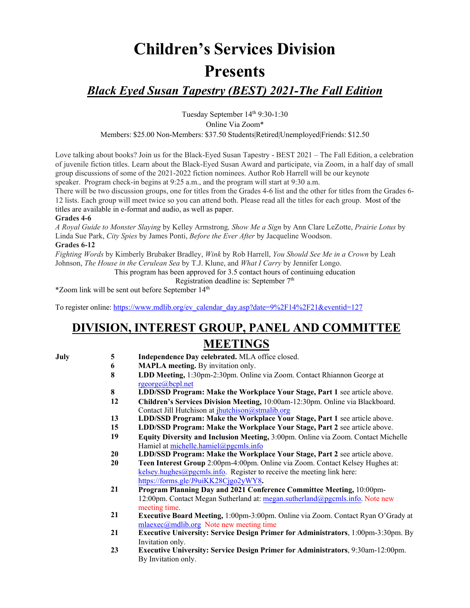# **Children's Services Division Presents**

### *Black Eyed Susan Tapestry (BEST) 2021-The Fall Edition*

Tuesday September 14th 9:30-1:30 Online Via Zoom\* Members: \$25.00 Non-Members: \$37.50 Students|Retired|Unemployed|Friends: \$12.50

Love talking about books? Join us for the Black-Eyed Susan Tapestry - BEST 2021 – The Fall Edition, a celebration of juvenile fiction titles. Learn about the Black-Eyed Susan Award and participate, via Zoom, in a half day of small group discussions of some of the 2021-2022 fiction nominees. Author Rob Harrell will be our keynote speaker. Program check-in begins at 9:25 a.m., and the program will start at 9:30 a.m.

There will be two discussion groups, one for titles from the Grades 4-6 list and the other for titles from the Grades 6- 12 lists. Each group will meet twice so you can attend both. Please read all the titles for each group. Most of the titles are available in e-format and audio, as well as paper.

#### **Grades 4-6**

*A Royal Guide to Monster Slaying* by Kelley Armstrong*, Show Me a Sign* by Ann Clare LeZotte, *Prairie Lotus* by Linda Sue Park, *City Spies* by James Ponti, *Before the Ever After* by Jacqueline Woodson. **Grades 6-12**

*Fighting Words* by Kimberly Brubaker Bradley, *Wink* by Rob Harrell, *You Should See Me in a Crown* by Leah Johnson, *The House in the Cerulean Sea* by T.J. Klune, and *What I Carry* by Jennifer Longo.

This program has been approved for 3.5 contact hours of continuing education

Registration deadline is: September 7<sup>th</sup>

\*Zoom link will be sent out before September 14th

To register online: [https://www.mdlib.org/ev\\_calendar\\_day.asp?date=9%2F14%2F21&eventid=127](https://www.mdlib.org/ev_calendar_day.asp?date=9%2F14%2F21&eventid=127)

## **DIVISION, INTEREST GROUP, PANEL AND COMMITTEE MEETINGS**

- **July 5 Independence Day celebrated.** MLA office closed.
	- **6 MAPLA meeting.** By invitation only.
	- **8 LDD Meeting,** 1:30pm-2:30pm. Online via Zoom. Contact Rhiannon George at [rgeorge@bcpl.net](mailto:rgeorge@bcpl.net)
	- **8 LDD/SSD Program: Make the Workplace Your Stage, Part 1** see article above.
	- **12 Children's Services Division Meeting,** 10:00am-12:30pm. Online via Blackboard. Contact Jill Hutchison at [jhutchison@stmalib.org](mailto:jhutchison@stmalib.org)
	- **13 LDD/SSD Program: Make the Workplace Your Stage, Part 1** see article above.
	- **15 LDD/SSD Program: Make the Workplace Your Stage, Part 2** see article above.
	- **19 Equity Diversity and Inclusion Meeting,** 3:00pm. Online via Zoom. Contact Michelle Hamiel at [michelle.hamiel@pgcmls.info](mailto:michelle.hamiel@pgcmls.info)
	- **20 LDD/SSD Program: Make the Workplace Your Stage, Part 2** see article above.
	- **20 Teen Interest Group** 2:00pm-4:00pm. Online via Zoom. Contact Kelsey Hughes at: [kelsey.hughes@pgcmls.info.](mailto:kelsey.hughes@pgcmls.info) Register to receive the meeting link here: [https://forms.gle/J9uiKK28Cjgo2yWY8](https://nam11.safelinks.protection.outlook.com/?url=https%3A%2F%2Fforms.gle%2FJ9uiKK28Cjgo2yWY8%3Ffbclid%3DIwAR21eFiMwM9Xt5tmP2OeUS49vmJG6kp42l4h_LC99FU54OTd0_fW-aKTv7c&data=04%7C01%7Ckmonagan%40mdlib.org%7C6538d74b38e34b8a503808d9123c2f37%7Cabfaca4f2f8440c29a45bd09ad83fe89%7C0%7C0%7C637560871964497662%7CUnknown%7CTWFpbGZsb3d8eyJWIjoiMC4wLjAwMDAiLCJQIjoiV2luMzIiLCJBTiI6Ik1haWwiLCJXVCI6Mn0%3D%7C1000&sdata=hJL5XGAWtN9AhVDITo%2B2HfCBBinPUybjt%2Bu71ZzsAyU%3D&reserved=0)**.**
	- **21 Program Planning Day and 2021 Conference Committee Meeting,** 10:00pm-12:00pm. Contact Megan Sutherland at: [megan.sutherland@pgcmls.info.](mailto:megan.sutherland@pgcmls.info) Note new meeting time.
	- **21 Executive Board Meeting,** 1:00pm-3:00pm. Online via Zoom. Contact Ryan O'Grady at mlaexec $@$ mdlib.org Note new meeting time
	- **21 Executive University: Service Design Primer for Administrators**, 1:00pm-3:30pm. By Invitation only.
	- **23 Executive University: Service Design Primer for Administrators**, 9:30am-12:00pm. By Invitation only.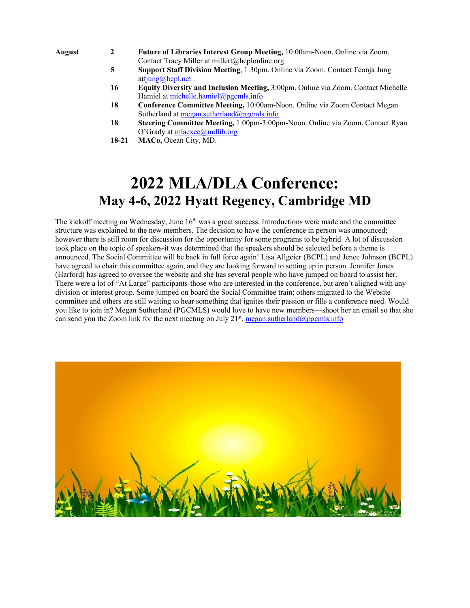- **August 2 Future of Libraries Interest Group Meeting,** 10:00am-Noon. Online via Zoom. Contact Tracy Miller at [millert@hcplonline.org](mailto:millert@hcplonline.org)
	- **5 Support Staff Division Meeting**, 1:30pm. Online via Zoom. Contact Teonja Jung a[ttjung@bcpl.net](mailto:tjung@bcpl.net).
	- **16 Equity Diversity and Inclusion Meeting,** 3:00pm. Online via Zoom. Contact Michelle Hamiel at [michelle.hamiel@pgcmls.info](mailto:michelle.hamiel@pgcmls.info)
	- **18 Conference Committee Meeting,** 10:00am-Noon. Online via Zoom Contact Megan Sutherland at [megan.sutherland@pgcmls.info](mailto:megan.sutherland@pgcmls.info)
	- **18 Steering Committee Meeting,** 1:00pm-3:00pm-Noon. Online via Zoom. Contact Ryan O'Grady at [mlaexec@mdlib.org](mailto:mlaexec@mdlib.org)
	- **18-21 MACo,** Ocean City, MD.

## **2022 MLA/DLA Conference: May 4-6, 2022 Hyatt Regency, Cambridge MD**

The kickoff meeting on Wednesday, June  $16<sup>th</sup>$  was a great success. Introductions were made and the committee structure was explained to the new members. The decision to have the conference in person was announced; however there is still room for discussion for the opportunity for some programs to be hybrid. A lot of discussion took place on the topic of speakers-it was determined that the speakers should be selected before a theme is announced. The Social Committee will be back in full force again! Lisa Allgeier (BCPL) and Jenee Johnson (BCPL) have agreed to chair this committee again, and they are looking forward to setting up in person. Jennifer Jones (Harford) has agreed to oversee the website and she has several people who have jumped on board to assist her. There were a lot of "At Large" participants-those who are interested in the conference, but aren't aligned with any division or interest group. Some jumped on board the Social Committee train; others migrated to the Website committee and others are still waiting to hear something that ignites their passion or fills a conference need. Would you like to join in? Megan Sutherland (PGCMLS) would love to have new members—shoot her an email so that she can send you the Zoom link for the next meeting on July 21<sup>st</sup>. [megan.sutherland@pgcmls.info](mailto:megan.sutherland@pgcmls.info)